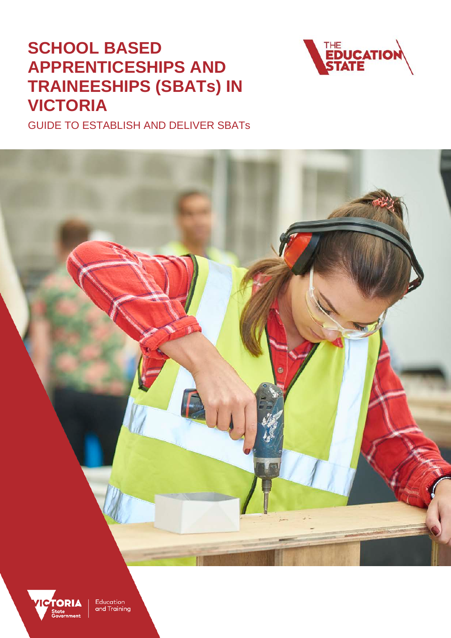# **SCHOOL BASED APPRENTICESHIPS AND TRAINEESHIPS (SBATs) IN VICTORIA**



GUIDE TO ESTABLISH AND DELIVER SBATs



**TORIA** Education and Training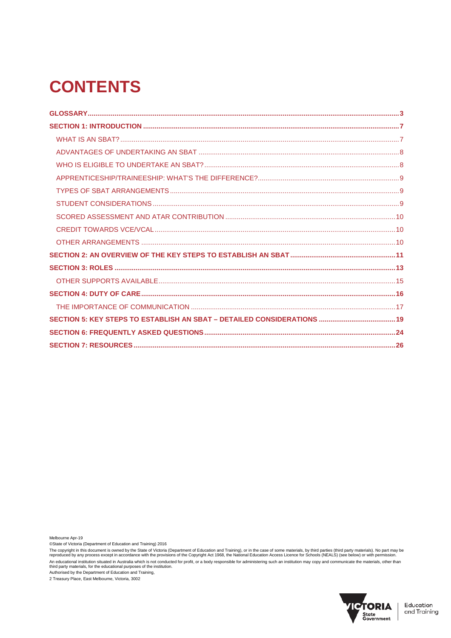# **CONTENTS**

Melbourne Apr-19

©State of Victoria (Department of Education and Training) 2016

The copyright in this document is owned by the State of Victoria (Department of Education and Training), or in the case of some materials, by third parties (third party materials). No part may be<br>reproduced by any process An educational institution situated in Australia which is not conducted for profit, or a body responsible for administering such an institution may copy and communicate the materials, other than<br>third party materials, for

Authorised by the Department of Education and Training, 2 Treasury Place, East Melbourne, Victoria, 3002

![](_page_1_Picture_6.jpeg)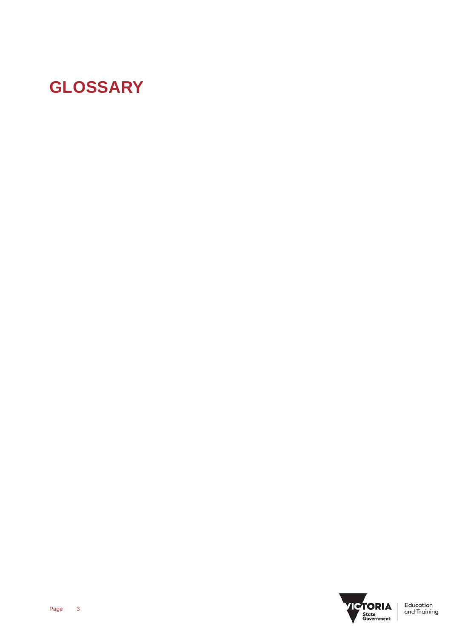# **GLOSSARY**

![](_page_2_Picture_1.jpeg)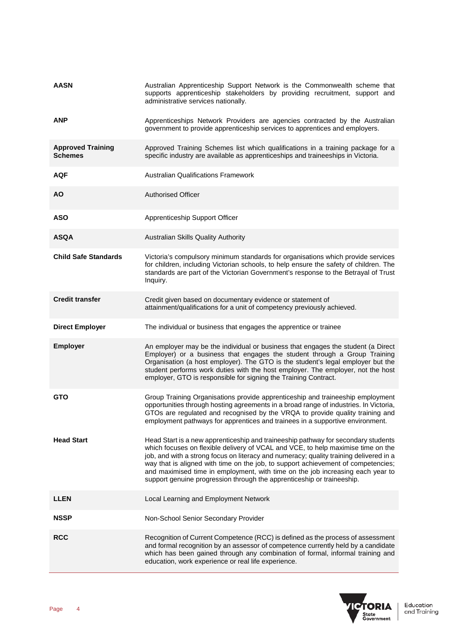| <b>AASN</b>                                | Australian Apprenticeship Support Network is the Commonwealth scheme that<br>supports apprenticeship stakeholders by providing recruitment, support and<br>administrative services nationally.                                                                                                                                                                                                                                                                                                                   |
|--------------------------------------------|------------------------------------------------------------------------------------------------------------------------------------------------------------------------------------------------------------------------------------------------------------------------------------------------------------------------------------------------------------------------------------------------------------------------------------------------------------------------------------------------------------------|
| <b>ANP</b>                                 | Apprenticeships Network Providers are agencies contracted by the Australian<br>government to provide apprenticeship services to apprentices and employers.                                                                                                                                                                                                                                                                                                                                                       |
| <b>Approved Training</b><br><b>Schemes</b> | Approved Training Schemes list which qualifications in a training package for a<br>specific industry are available as apprenticeships and traineeships in Victoria.                                                                                                                                                                                                                                                                                                                                              |
| <b>AQF</b>                                 | <b>Australian Qualifications Framework</b>                                                                                                                                                                                                                                                                                                                                                                                                                                                                       |
| <b>AO</b>                                  | <b>Authorised Officer</b>                                                                                                                                                                                                                                                                                                                                                                                                                                                                                        |
| <b>ASO</b>                                 | Apprenticeship Support Officer                                                                                                                                                                                                                                                                                                                                                                                                                                                                                   |
| <b>ASQA</b>                                | Australian Skills Quality Authority                                                                                                                                                                                                                                                                                                                                                                                                                                                                              |
| <b>Child Safe Standards</b>                | Victoria's compulsory minimum standards for organisations which provide services<br>for children, including Victorian schools, to help ensure the safety of children. The<br>standards are part of the Victorian Government's response to the Betrayal of Trust<br>Inquiry.                                                                                                                                                                                                                                      |
| <b>Credit transfer</b>                     | Credit given based on documentary evidence or statement of<br>attainment/qualifications for a unit of competency previously achieved.                                                                                                                                                                                                                                                                                                                                                                            |
| <b>Direct Employer</b>                     | The individual or business that engages the apprentice or trainee                                                                                                                                                                                                                                                                                                                                                                                                                                                |
| <b>Employer</b>                            | An employer may be the individual or business that engages the student (a Direct<br>Employer) or a business that engages the student through a Group Training<br>Organisation (a host employer). The GTO is the student's legal employer but the<br>student performs work duties with the host employer. The employer, not the host<br>employer, GTO is responsible for signing the Training Contract.                                                                                                           |
| <b>GTO</b>                                 | Group Training Organisations provide apprenticeship and traineeship employment<br>opportunities through hosting agreements in a broad range of industries. In Victoria,<br>GTOs are regulated and recognised by the VRQA to provide quality training and<br>employment pathways for apprentices and trainees in a supportive environment.                                                                                                                                                                        |
| <b>Head Start</b>                          | Head Start is a new apprenticeship and traineeship pathway for secondary students<br>which focuses on flexible delivery of VCAL and VCE, to help maximise time on the<br>job, and with a strong focus on literacy and numeracy; quality training delivered in a<br>way that is aligned with time on the job, to support achievement of competencies;<br>and maximised time in employment, with time on the job increasing each year to<br>support genuine progression through the apprenticeship or traineeship. |
| <b>LLEN</b>                                | Local Learning and Employment Network                                                                                                                                                                                                                                                                                                                                                                                                                                                                            |
| <b>NSSP</b>                                | Non-School Senior Secondary Provider                                                                                                                                                                                                                                                                                                                                                                                                                                                                             |
| <b>RCC</b>                                 | Recognition of Current Competence (RCC) is defined as the process of assessment<br>and formal recognition by an assessor of competence currently held by a candidate<br>which has been gained through any combination of formal, informal training and<br>education, work experience or real life experience.                                                                                                                                                                                                    |

![](_page_3_Picture_1.jpeg)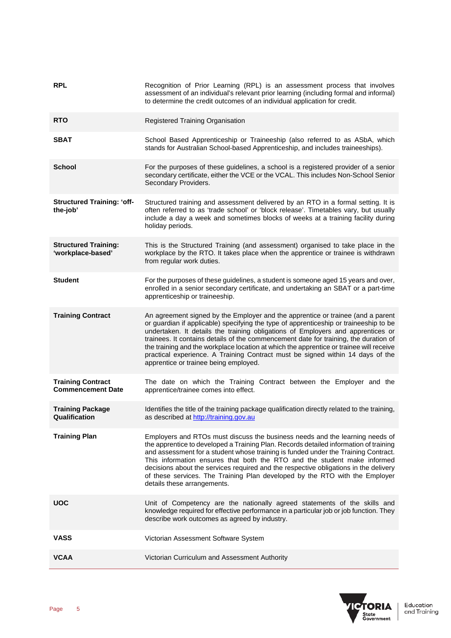| <b>RPL</b>                                           | Recognition of Prior Learning (RPL) is an assessment process that involves<br>assessment of an individual's relevant prior learning (including formal and informal)<br>to determine the credit outcomes of an individual application for credit.                                                                                                                                                                                                                                                                                                                          |
|------------------------------------------------------|---------------------------------------------------------------------------------------------------------------------------------------------------------------------------------------------------------------------------------------------------------------------------------------------------------------------------------------------------------------------------------------------------------------------------------------------------------------------------------------------------------------------------------------------------------------------------|
| <b>RTO</b>                                           | Registered Training Organisation                                                                                                                                                                                                                                                                                                                                                                                                                                                                                                                                          |
| <b>SBAT</b>                                          | School Based Apprenticeship or Traineeship (also referred to as ASbA, which<br>stands for Australian School-based Apprenticeship, and includes traineeships).                                                                                                                                                                                                                                                                                                                                                                                                             |
| <b>School</b>                                        | For the purposes of these guidelines, a school is a registered provider of a senior<br>secondary certificate, either the VCE or the VCAL. This includes Non-School Senior<br>Secondary Providers.                                                                                                                                                                                                                                                                                                                                                                         |
| <b>Structured Training: 'off-</b><br>the-job'        | Structured training and assessment delivered by an RTO in a formal setting. It is<br>often referred to as 'trade school' or 'block release'. Timetables vary, but usually<br>include a day a week and sometimes blocks of weeks at a training facility during<br>holiday periods.                                                                                                                                                                                                                                                                                         |
| <b>Structured Training:</b><br>'workplace-based'     | This is the Structured Training (and assessment) organised to take place in the<br>workplace by the RTO. It takes place when the apprentice or trainee is withdrawn<br>from regular work duties.                                                                                                                                                                                                                                                                                                                                                                          |
| <b>Student</b>                                       | For the purposes of these guidelines, a student is someone aged 15 years and over,<br>enrolled in a senior secondary certificate, and undertaking an SBAT or a part-time<br>apprenticeship or traineeship.                                                                                                                                                                                                                                                                                                                                                                |
| <b>Training Contract</b>                             | An agreement signed by the Employer and the apprentice or trainee (and a parent<br>or guardian if applicable) specifying the type of apprenticeship or traineeship to be<br>undertaken. It details the training obligations of Employers and apprentices or<br>trainees. It contains details of the commencement date for training, the duration of<br>the training and the workplace location at which the apprentice or trainee will receive<br>practical experience. A Training Contract must be signed within 14 days of the<br>apprentice or trainee being employed. |
| <b>Training Contract</b><br><b>Commencement Date</b> | The date on which the Training Contract between the Employer and the<br>apprentice/trainee comes into effect.                                                                                                                                                                                                                                                                                                                                                                                                                                                             |
| <b>Training Package</b><br>Qualification             | Identifies the title of the training package qualification directly related to the training,<br>as described at http://training.gov.au                                                                                                                                                                                                                                                                                                                                                                                                                                    |
| <b>Training Plan</b>                                 | Employers and RTOs must discuss the business needs and the learning needs of<br>the apprentice to developed a Training Plan. Records detailed information of training<br>and assessment for a student whose training is funded under the Training Contract.<br>This information ensures that both the RTO and the student make informed<br>decisions about the services required and the respective obligations in the delivery<br>of these services. The Training Plan developed by the RTO with the Employer<br>details these arrangements.                             |
| UOC                                                  | Unit of Competency are the nationally agreed statements of the skills and<br>knowledge required for effective performance in a particular job or job function. They<br>describe work outcomes as agreed by industry.                                                                                                                                                                                                                                                                                                                                                      |
| VASS                                                 | Victorian Assessment Software System                                                                                                                                                                                                                                                                                                                                                                                                                                                                                                                                      |
| <b>VCAA</b>                                          | Victorian Curriculum and Assessment Authority                                                                                                                                                                                                                                                                                                                                                                                                                                                                                                                             |

![](_page_4_Picture_1.jpeg)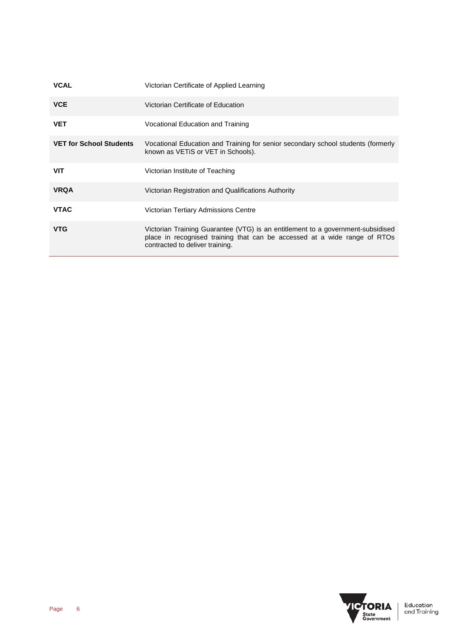| <b>VCAL</b>                    | Victorian Certificate of Applied Learning                                                                                                                                                       |
|--------------------------------|-------------------------------------------------------------------------------------------------------------------------------------------------------------------------------------------------|
| <b>VCE</b>                     | Victorian Certificate of Education                                                                                                                                                              |
| <b>VET</b>                     | Vocational Education and Training                                                                                                                                                               |
| <b>VET for School Students</b> | Vocational Education and Training for senior secondary school students (formerly<br>known as VETIS or VET in Schools).                                                                          |
| <b>VIT</b>                     | Victorian Institute of Teaching                                                                                                                                                                 |
| <b>VRQA</b>                    | Victorian Registration and Qualifications Authority                                                                                                                                             |
| <b>VTAC</b>                    | Victorian Tertiary Admissions Centre                                                                                                                                                            |
| <b>VTG</b>                     | Victorian Training Guarantee (VTG) is an entitlement to a government-subsidised<br>place in recognised training that can be accessed at a wide range of RTOs<br>contracted to deliver training. |

![](_page_5_Picture_1.jpeg)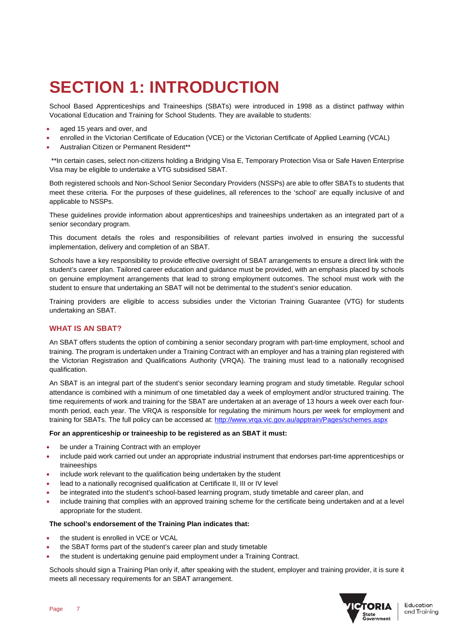# **SECTION 1: INTRODUCTION**

School Based Apprenticeships and Traineeships (SBATs) were introduced in 1998 as a distinct pathway within Vocational Education and Training for School Students. They are available to students:

- aged 15 years and over, and
- enrolled in the Victorian Certificate of Education (VCE) or the Victorian Certificate of Applied Learning (VCAL)
- Australian Citizen or Permanent Resident\*\*

\*\*In certain cases, select non-citizens holding a Bridging Visa E, Temporary Protection Visa or Safe Haven Enterprise Visa may be eligible to undertake a VTG subsidised SBAT.

Both registered schools and Non-School Senior Secondary Providers (NSSPs) are able to offer SBATs to students that meet these criteria. For the purposes of these guidelines, all references to the 'school' are equally inclusive of and applicable to NSSPs.

These guidelines provide information about apprenticeships and traineeships undertaken as an integrated part of a senior secondary program.

This document details the roles and responsibilities of relevant parties involved in ensuring the successful implementation, delivery and completion of an SBAT.

Schools have a key responsibility to provide effective oversight of SBAT arrangements to ensure a direct link with the student's career plan. Tailored career education and guidance must be provided, with an emphasis placed by schools on genuine employment arrangements that lead to strong employment outcomes. The school must work with the student to ensure that undertaking an SBAT will not be detrimental to the student's senior education.

Training providers are eligible to access subsidies under the Victorian Training Guarantee (VTG) for students undertaking an SBAT.

## **WHAT IS AN SBAT?**

An SBAT offers students the option of combining a senior secondary program with part-time employment, school and training. The program is undertaken under a Training Contract with an employer and has a training plan registered with the Victorian Registration and Qualifications Authority (VRQA). The training must lead to a nationally recognised qualification.

An SBAT is an integral part of the student's senior secondary learning program and study timetable. Regular school attendance is combined with a minimum of one timetabled day a week of employment and/or structured training. The time requirements of work and training for the SBAT are undertaken at an average of 13 hours a week over each fourmonth period, each year. The VRQA is responsible for regulating the minimum hours per week for employment and training for SBATs. The full policy can be accessed at:<http://www.vrqa.vic.gov.au/apptrain/Pages/schemes.aspx>

#### **For an apprenticeship or traineeship to be registered as an SBAT it must:**

- be under a Training Contract with an employer
- include paid work carried out under an appropriate industrial instrument that endorses part-time apprenticeships or traineeships
- include work relevant to the qualification being undertaken by the student
- lead to a nationally recognised qualification at Certificate II, III or IV level
- be integrated into the student's school-based learning program, study timetable and career plan, and
- include training that complies with an approved training scheme for the certificate being undertaken and at a level appropriate for the student.

#### **The school's endorsement of the Training Plan indicates that:**

- the student is enrolled in VCE or VCAL
- the SBAT forms part of the student's career plan and study timetable
- the student is undertaking genuine paid employment under a Training Contract.

Schools should sign a Training Plan only if, after speaking with the student, employer and training provider, it is sure it meets all necessary requirements for an SBAT arrangement.

![](_page_6_Picture_26.jpeg)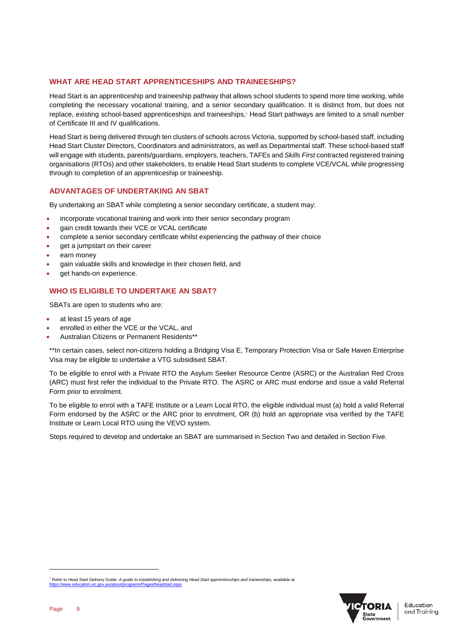## **WHAT ARE HEAD START APPRENTICESHIPS AND TRAINEESHIPS?**

Head Start is an apprenticeship and traineeship pathway that allows school students to spend more time working, while completing the necessary vocational training, and a senior secondary qualification. It is distinct from, but does not replace, existing school-based apprenticeships and traineeships,<sup>[1](#page-7-0)</sup> Head Start pathways are limited to a small number of Certificate III and IV qualifications.

Head Start is being delivered through ten clusters of schools across Victoria, supported by school-based staff, including Head Start Cluster Directors, Coordinators and administrators, as well as Departmental staff. These school-based staff will engage with students, parents/guardians, employers, teachers, TAFEs and *Skills First* contracted registered training organisations (RTOs) and other stakeholders, to enable Head Start students to complete VCE/VCAL while progressing through to completion of an apprenticeship or traineeship.

## **ADVANTAGES OF UNDERTAKING AN SBAT**

By undertaking an SBAT while completing a senior secondary certificate, a student may:

- incorporate vocational training and work into their senior secondary program
- gain credit towards their VCE or VCAL certificate
- complete a senior secondary certificate whilst experiencing the pathway of their choice
- get a jumpstart on their career
- earn money
- gain valuable skills and knowledge in their chosen field, and
- get hands-on experience.

## **WHO IS ELIGIBLE TO UNDERTAKE AN SBAT?**

SBATs are open to students who are:

- at least 15 years of age
- enrolled in either the VCE or the VCAL, and
- Australian Citizens or Permanent Residents\*\*

\*\*In certain cases, select non-citizens holding a Bridging Visa E, Temporary Protection Visa or Safe Haven Enterprise Visa may be eligible to undertake a VTG subsidised SBAT.

To be eligible to enrol with a Private RTO the Asylum Seeker Resource Centre (ASRC) or the Australian Red Cross (ARC) must first refer the individual to the Private RTO. The ASRC or ARC must endorse and issue a valid Referral Form prior to enrolment.

To be eligible to enrol with a TAFE Institute or a Learn Local RTO, the eligible individual must (a) hold a valid Referral Form endorsed by the ASRC or the ARC prior to enrolment, OR (b) hold an appropriate visa verified by the TAFE Institute or Learn Local RTO using the VEVO system.

Steps required to develop and undertake an SBAT are summarised in Section Two and detailed in Section Five.

![](_page_7_Picture_22.jpeg)

j

<span id="page-7-0"></span><sup>1</sup> Refer to Head Start Delivery Guide: *A guide to establishing and delivering Head Start apprenticeships and traineeships*, available at <https://www.education.vic.gov.au/about/programs/Pages/headstart.aspx>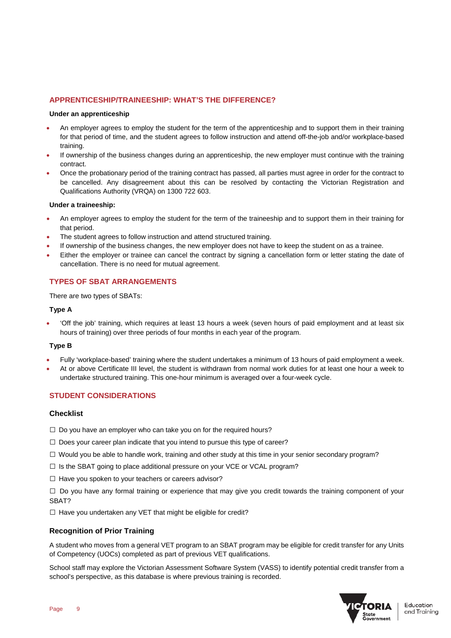# **APPRENTICESHIP/TRAINEESHIP: WHAT'S THE DIFFERENCE?**

### **Under an apprenticeship**

- An employer agrees to employ the student for the term of the apprenticeship and to support them in their training for that period of time, and the student agrees to follow instruction and attend off-the-job and/or workplace-based training.
- If ownership of the business changes during an apprenticeship, the new employer must continue with the training contract.
- Once the probationary period of the training contract has passed, all parties must agree in order for the contract to be cancelled. Any disagreement about this can be resolved by contacting the Victorian Registration and Qualifications Authority (VRQA) on 1300 722 603.

## **Under a traineeship:**

- An employer agrees to employ the student for the term of the traineeship and to support them in their training for that period.
- The student agrees to follow instruction and attend structured training.
- If ownership of the business changes, the new employer does not have to keep the student on as a trainee.
- Either the employer or trainee can cancel the contract by signing a cancellation form or letter stating the date of cancellation. There is no need for mutual agreement.

# **TYPES OF SBAT ARRANGEMENTS**

There are two types of SBATs:

### **Type A**

• 'Off the job' training, which requires at least 13 hours a week (seven hours of paid employment and at least six hours of training) over three periods of four months in each year of the program.

## **Type B**

- Fully 'workplace-based' training where the student undertakes a minimum of 13 hours of paid employment a week.
- At or above Certificate III level, the student is withdrawn from normal work duties for at least one hour a week to undertake structured training. This one-hour minimum is averaged over a four-week cycle.

# **STUDENT CONSIDERATIONS**

## **Checklist**

- $\Box$  Do you have an employer who can take you on for the required hours?
- $\square$  Does your career plan indicate that you intend to pursue this type of career?
- $\Box$  Would you be able to handle work, training and other study at this time in your senior secondary program?
- □ Is the SBAT going to place additional pressure on your VCE or VCAL program?
- $\Box$  Have you spoken to your teachers or careers advisor?

 $\square$  Do you have any formal training or experience that may give you credit towards the training component of your SBAT?

 $\Box$  Have you undertaken any VET that might be eligible for credit?

## **Recognition of Prior Training**

A student who moves from a general VET program to an SBAT program may be eligible for credit transfer for any Units of Competency (UOCs) completed as part of previous VET qualifications.

School staff may explore the Victorian Assessment Software System (VASS) to identify potential credit transfer from a school's perspective, as this database is where previous training is recorded.

![](_page_8_Picture_29.jpeg)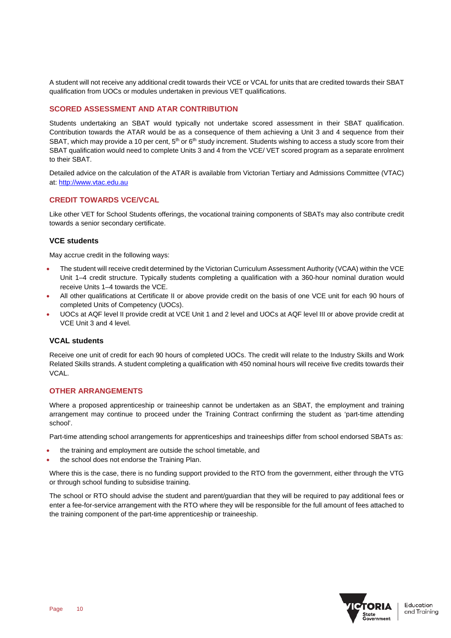A student will not receive any additional credit towards their VCE or VCAL for units that are credited towards their SBAT qualification from UOCs or modules undertaken in previous VET qualifications.

# **SCORED ASSESSMENT AND ATAR CONTRIBUTION**

Students undertaking an SBAT would typically not undertake scored assessment in their SBAT qualification. Contribution towards the ATAR would be as a consequence of them achieving a Unit 3 and 4 sequence from their SBAT, which may provide a 10 per cent,  $5<sup>th</sup>$  or  $6<sup>th</sup>$  study increment. Students wishing to access a study score from their SBAT qualification would need to complete Units 3 and 4 from the VCE/ VET scored program as a separate enrolment to their SBAT.

Detailed advice on the calculation of the ATAR is available from Victorian Tertiary and Admissions Committee (VTAC) at[: http://www.vtac.edu.au](http://www.vtac.edu.au/)

# **CREDIT TOWARDS VCE/VCAL**

Like other VET for School Students offerings, the vocational training components of SBATs may also contribute credit towards a senior secondary certificate.

## **VCE students**

May accrue credit in the following ways:

- The student will receive credit determined by the Victorian Curriculum Assessment Authority (VCAA) within the VCE Unit 1–4 credit structure. Typically students completing a qualification with a 360-hour nominal duration would receive Units 1–4 towards the VCE.
- All other qualifications at Certificate II or above provide credit on the basis of one VCE unit for each 90 hours of completed Units of Competency (UOCs).
- UOCs at AQF level II provide credit at VCE Unit 1 and 2 level and UOCs at AQF level III or above provide credit at VCE Unit 3 and 4 level.

## **VCAL students**

Receive one unit of credit for each 90 hours of completed UOCs. The credit will relate to the Industry Skills and Work Related Skills strands. A student completing a qualification with 450 nominal hours will receive five credits towards their VCAL.

## **OTHER ARRANGEMENTS**

Where a proposed apprenticeship or traineeship cannot be undertaken as an SBAT, the employment and training arrangement may continue to proceed under the Training Contract confirming the student as 'part-time attending school'.

Part-time attending school arrangements for apprenticeships and traineeships differ from school endorsed SBATs as:

- the training and employment are outside the school timetable, and
- the school does not endorse the Training Plan.

Where this is the case, there is no funding support provided to the RTO from the government, either through the VTG or through school funding to subsidise training.

The school or RTO should advise the student and parent/guardian that they will be required to pay additional fees or enter a fee-for-service arrangement with the RTO where they will be responsible for the full amount of fees attached to the training component of the part-time apprenticeship or traineeship.

![](_page_9_Picture_20.jpeg)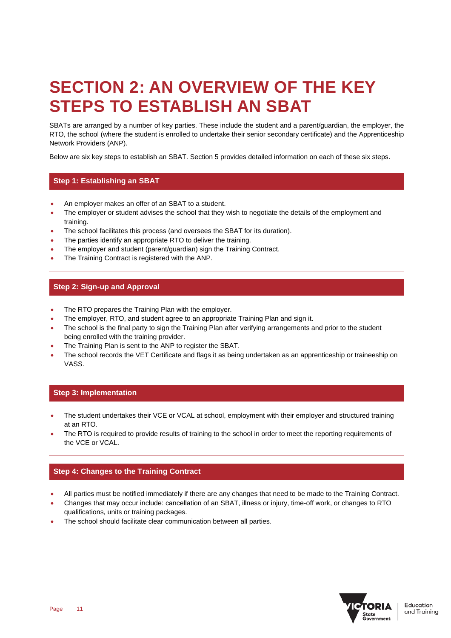# **SECTION 2: AN OVERVIEW OF THE KEY STEPS TO ESTABLISH AN SBAT**

SBATs are arranged by a number of key parties. These include the student and a parent/guardian, the employer, the RTO, the school (where the student is enrolled to undertake their senior secondary certificate) and the Apprenticeship Network Providers (ANP).

Below are six key steps to establish an SBAT. Section 5 provides detailed information on each of these six steps.

# **Step 1: Establishing an SBAT**

- An employer makes an offer of an SBAT to a student.
- The employer or student advises the school that they wish to negotiate the details of the employment and training.
- The school facilitates this process (and oversees the SBAT for its duration).
- The parties identify an appropriate RTO to deliver the training.
- The employer and student (parent/guardian) sign the Training Contract.
- The Training Contract is registered with the ANP.

# **Step 2: Sign-up and Approval**

- The RTO prepares the Training Plan with the employer.
- The employer, RTO, and student agree to an appropriate Training Plan and sign it.
- The school is the final party to sign the Training Plan after verifying arrangements and prior to the student being enrolled with the training provider.
- The Training Plan is sent to the ANP to register the SBAT.
- The school records the VET Certificate and flags it as being undertaken as an apprenticeship or traineeship on VASS.

# **Step 3: Implementation**

- The student undertakes their VCE or VCAL at school, employment with their employer and structured training at an RTO.
- The RTO is required to provide results of training to the school in order to meet the reporting requirements of the VCE or VCAL.

# **Step 4: Changes to the Training Contract**

- All parties must be notified immediately if there are any changes that need to be made to the Training Contract.
- Changes that may occur include: cancellation of an SBAT, illness or injury, time-off work, or changes to RTO qualifications, units or training packages.
- The school should facilitate clear communication between all parties.

![](_page_10_Picture_23.jpeg)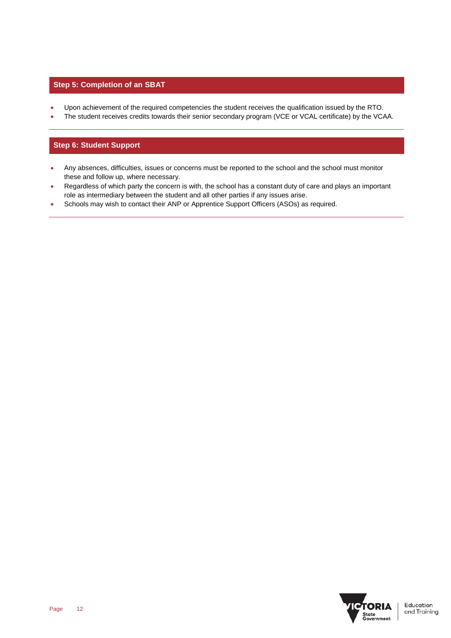# **Step 5: Completion of an SBAT**

- Upon achievement of the required competencies the student receives the qualification issued by the RTO.
- The student receives credits towards their senior secondary program (VCE or VCAL certificate) by the VCAA.

# **Step 6: Student Support**

- Any absences, difficulties, issues or concerns must be reported to the school and the school must monitor these and follow up, where necessary.
- Regardless of which party the concern is with, the school has a constant duty of care and plays an important role as intermediary between the student and all other parties if any issues arise.
- Schools may wish to contact their ANP or Apprentice Support Officers (ASOs) as required.

![](_page_11_Picture_7.jpeg)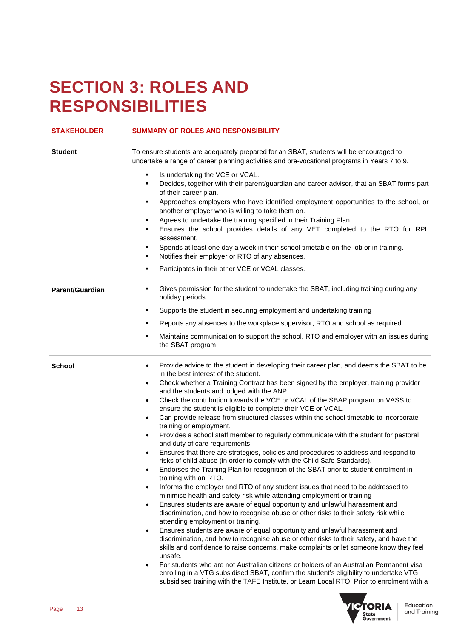# **SECTION 3: ROLES AND RESPONSIBILITIES**

| <b>STAKEHOLDER</b> | <b>SUMMARY OF ROLES AND RESPONSIBILITY</b>                                                                                                                                                                                                                                                                                                                                                                                                                                                                                                                                                                                                                                                                |
|--------------------|-----------------------------------------------------------------------------------------------------------------------------------------------------------------------------------------------------------------------------------------------------------------------------------------------------------------------------------------------------------------------------------------------------------------------------------------------------------------------------------------------------------------------------------------------------------------------------------------------------------------------------------------------------------------------------------------------------------|
| <b>Student</b>     | To ensure students are adequately prepared for an SBAT, students will be encouraged to<br>undertake a range of career planning activities and pre-vocational programs in Years 7 to 9.                                                                                                                                                                                                                                                                                                                                                                                                                                                                                                                    |
|                    | Is undertaking the VCE or VCAL.<br>٠<br>Decides, together with their parent/guardian and career advisor, that an SBAT forms part<br>٠<br>of their career plan.<br>Approaches employers who have identified employment opportunities to the school, or<br>٠<br>another employer who is willing to take them on.<br>Agrees to undertake the training specified in their Training Plan.<br>٠<br>Ensures the school provides details of any VET completed to the RTO for RPL<br>٠<br>assessment.<br>Spends at least one day a week in their school timetable on-the-job or in training.<br>٠<br>Notifies their employer or RTO of any absences.<br>٠<br>Participates in their other VCE or VCAL classes.<br>٠ |
| Parent/Guardian    | Gives permission for the student to undertake the SBAT, including training during any<br>٠<br>holiday periods                                                                                                                                                                                                                                                                                                                                                                                                                                                                                                                                                                                             |
|                    | Supports the student in securing employment and undertaking training<br>٠                                                                                                                                                                                                                                                                                                                                                                                                                                                                                                                                                                                                                                 |
|                    | Reports any absences to the workplace supervisor, RTO and school as required<br>٠                                                                                                                                                                                                                                                                                                                                                                                                                                                                                                                                                                                                                         |
|                    | Maintains communication to support the school, RTO and employer with an issues during<br>٠<br>the SBAT program                                                                                                                                                                                                                                                                                                                                                                                                                                                                                                                                                                                            |
| School             | Provide advice to the student in developing their career plan, and deems the SBAT to be<br>$\bullet$<br>in the best interest of the student.<br>Check whether a Training Contract has been signed by the employer, training provider<br>٠                                                                                                                                                                                                                                                                                                                                                                                                                                                                 |
|                    | and the students and lodged with the ANP.                                                                                                                                                                                                                                                                                                                                                                                                                                                                                                                                                                                                                                                                 |
|                    | Check the contribution towards the VCE or VCAL of the SBAP program on VASS to<br>$\bullet$<br>ensure the student is eligible to complete their VCE or VCAL.                                                                                                                                                                                                                                                                                                                                                                                                                                                                                                                                               |
|                    | Can provide release from structured classes within the school timetable to incorporate<br>$\bullet$<br>training or employment.                                                                                                                                                                                                                                                                                                                                                                                                                                                                                                                                                                            |
|                    | Provides a school staff member to regularly communicate with the student for pastoral<br>$\bullet$<br>and duty of care requirements.                                                                                                                                                                                                                                                                                                                                                                                                                                                                                                                                                                      |
|                    | Ensures that there are strategies, policies and procedures to address and respond to<br>$\bullet$<br>risks of child abuse (in order to comply with the Child Safe Standards).                                                                                                                                                                                                                                                                                                                                                                                                                                                                                                                             |
|                    | Endorses the Training Plan for recognition of the SBAT prior to student enrolment in<br>$\bullet$                                                                                                                                                                                                                                                                                                                                                                                                                                                                                                                                                                                                         |
|                    | training with an RTO.<br>Informs the employer and RTO of any student issues that need to be addressed to<br>$\bullet$                                                                                                                                                                                                                                                                                                                                                                                                                                                                                                                                                                                     |
|                    | minimise health and safety risk while attending employment or training                                                                                                                                                                                                                                                                                                                                                                                                                                                                                                                                                                                                                                    |
|                    | Ensures students are aware of equal opportunity and unlawful harassment and<br>$\bullet$<br>discrimination, and how to recognise abuse or other risks to their safety risk while<br>attending employment or training.                                                                                                                                                                                                                                                                                                                                                                                                                                                                                     |
|                    | Ensures students are aware of equal opportunity and unlawful harassment and<br>٠<br>discrimination, and how to recognise abuse or other risks to their safety, and have the<br>skills and confidence to raise concerns, make complaints or let someone know they feel<br>unsafe.                                                                                                                                                                                                                                                                                                                                                                                                                          |
|                    | For students who are not Australian citizens or holders of an Australian Permanent visa<br>٠<br>enrolling in a VTG subsidised SBAT, confirm the student's eligibility to undertake VTG<br>subsidised training with the TAFE Institute, or Learn Local RTO. Prior to enrolment with a                                                                                                                                                                                                                                                                                                                                                                                                                      |

![](_page_12_Picture_2.jpeg)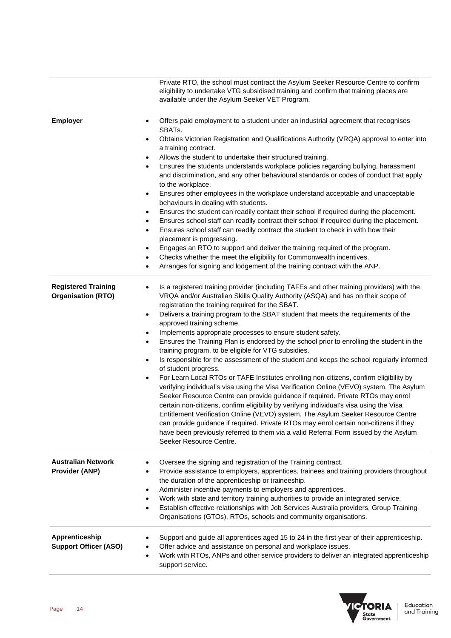|                                                         | Private RTO, the school must contract the Asylum Seeker Resource Centre to confirm<br>eligibility to undertake VTG subsidised training and confirm that training places are<br>available under the Asylum Seeker VET Program.                                                                                                                                                                                                                                                                                                                                                                                                                                                                                                                                                                                                                                                                                                                                                                                                                                                                                                                                                                                                                                                                                                                                                                                                        |
|---------------------------------------------------------|--------------------------------------------------------------------------------------------------------------------------------------------------------------------------------------------------------------------------------------------------------------------------------------------------------------------------------------------------------------------------------------------------------------------------------------------------------------------------------------------------------------------------------------------------------------------------------------------------------------------------------------------------------------------------------------------------------------------------------------------------------------------------------------------------------------------------------------------------------------------------------------------------------------------------------------------------------------------------------------------------------------------------------------------------------------------------------------------------------------------------------------------------------------------------------------------------------------------------------------------------------------------------------------------------------------------------------------------------------------------------------------------------------------------------------------|
| <b>Employer</b>                                         | Offers paid employment to a student under an industrial agreement that recognises<br>$\bullet$<br>SBATs.<br>Obtains Victorian Registration and Qualifications Authority (VRQA) approval to enter into<br>$\bullet$<br>a training contract.<br>Allows the student to undertake their structured training.<br>$\bullet$<br>Ensures the students understands workplace policies regarding bullying, harassment<br>$\bullet$<br>and discrimination, and any other behavioural standards or codes of conduct that apply<br>to the workplace.<br>Ensures other employees in the workplace understand acceptable and unacceptable<br>$\bullet$<br>behaviours in dealing with students.<br>Ensures the student can readily contact their school if required during the placement.<br>$\bullet$<br>Ensures school staff can readily contract their school if required during the placement.<br>$\bullet$<br>Ensures school staff can readily contract the student to check in with how their<br>$\bullet$<br>placement is progressing.<br>Engages an RTO to support and deliver the training required of the program.<br>٠<br>Checks whether the meet the eligibility for Commonwealth incentives.<br>$\bullet$<br>Arranges for signing and lodgement of the training contract with the ANP.<br>$\bullet$                                                                                                                                     |
| <b>Registered Training</b><br><b>Organisation (RTO)</b> | Is a registered training provider (including TAFEs and other training providers) with the<br>٠<br>VRQA and/or Australian Skills Quality Authority (ASQA) and has on their scope of<br>registration the training required for the SBAT.<br>Delivers a training program to the SBAT student that meets the requirements of the<br>$\bullet$<br>approved training scheme.<br>Implements appropriate processes to ensure student safety.<br>$\bullet$<br>Ensures the Training Plan is endorsed by the school prior to enrolling the student in the<br>$\bullet$<br>training program, to be eligible for VTG subsidies.<br>Is responsible for the assessment of the student and keeps the school regularly informed<br>$\bullet$<br>of student progress.<br>For Learn Local RTOs or TAFE Institutes enrolling non-citizens, confirm eligibility by<br>$\bullet$<br>verifying individual's visa using the Visa Verification Online (VEVO) system. The Asylum<br>Seeker Resource Centre can provide guidance if required. Private RTOs may enrol<br>certain non-citizens, confirm eligibility by verifying individual's visa using the Visa<br>Entitlement Verification Online (VEVO) system. The Asylum Seeker Resource Centre<br>can provide guidance if required. Private RTOs may enrol certain non-citizens if they<br>have been previously referred to them via a valid Referral Form issued by the Asylum<br>Seeker Resource Centre. |
| <b>Australian Network</b><br><b>Provider (ANP)</b>      | Oversee the signing and registration of the Training contract.<br>٠<br>Provide assistance to employers, apprentices, trainees and training providers throughout<br>$\bullet$<br>the duration of the apprenticeship or traineeship.<br>Administer incentive payments to employers and apprentices.<br>$\bullet$<br>Work with state and territory training authorities to provide an integrated service.<br>$\bullet$<br>Establish effective relationships with Job Services Australia providers, Group Training<br>$\bullet$<br>Organisations (GTOs), RTOs, schools and community organisations.                                                                                                                                                                                                                                                                                                                                                                                                                                                                                                                                                                                                                                                                                                                                                                                                                                      |
| Apprenticeship<br><b>Support Officer (ASO)</b>          | Support and guide all apprentices aged 15 to 24 in the first year of their apprenticeship.<br>Offer advice and assistance on personal and workplace issues.<br>$\bullet$<br>Work with RTOs, ANPs and other service providers to deliver an integrated apprenticeship<br>$\bullet$<br>support service.                                                                                                                                                                                                                                                                                                                                                                                                                                                                                                                                                                                                                                                                                                                                                                                                                                                                                                                                                                                                                                                                                                                                |

![](_page_13_Picture_1.jpeg)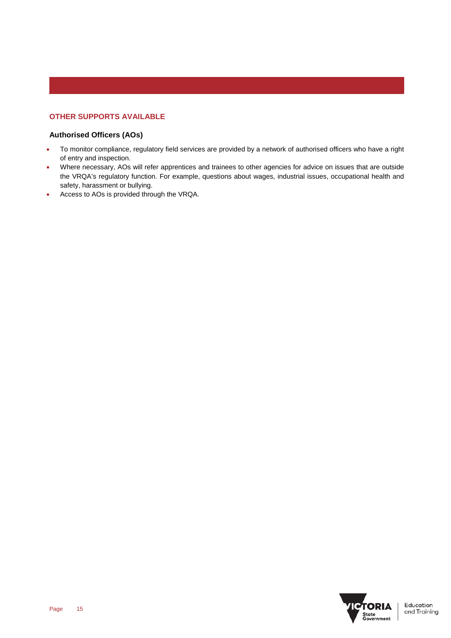# **OTHER SUPPORTS AVAILABLE**

# **Authorised Officers (AOs)**

- To monitor compliance, regulatory field services are provided by a network of authorised officers who have a right of entry and inspection.
- Where necessary, AOs will refer apprentices and trainees to other agencies for advice on issues that are outside the VRQA's regulatory function. For example, questions about wages, industrial issues, occupational health and safety, harassment or bullying.
- Access to AOs is provided through the VRQA.

![](_page_14_Picture_5.jpeg)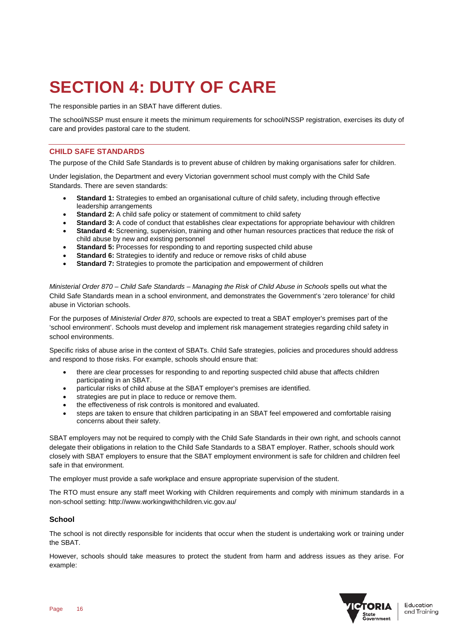# **SECTION 4: DUTY OF CARE**

The responsible parties in an SBAT have different duties.

The school/NSSP must ensure it meets the minimum requirements for school/NSSP registration, exercises its duty of care and provides pastoral care to the student.

## **CHILD SAFE STANDARDS**

The purpose of the Child Safe Standards is to prevent abuse of children by making organisations safer for children.

Under legislation, the Department and every Victorian government school must comply with the Child Safe Standards. There are seven standards:

- **Standard 1:** Strategies to embed an organisational culture of child safety, including through effective leadership arrangements
- **Standard 2:** A child safe policy or statement of commitment to child safety
- **Standard 3:** A code of conduct that establishes clear expectations for appropriate behaviour with children
- **Standard 4:** Screening, supervision, training and other human resources practices that reduce the risk of child abuse by new and existing personnel
- **Standard 5: Processes for responding to and reporting suspected child abuse**
- **Standard 6:** Strategies to identify and reduce or remove risks of child abuse
- **Standard 7:** Strategies to promote the participation and empowerment of children

*Ministerial Order 870 – Child Safe Standards – Managing the Risk of Child Abuse in Schools* spells out what the Child Safe Standards mean in a school environment, and demonstrates the Government's 'zero tolerance' for child abuse in Victorian schools.

For the purposes of *Ministerial Order 870*, schools are expected to treat a SBAT employer's premises part of the 'school environment'. Schools must develop and implement risk management strategies regarding child safety in school environments.

Specific risks of abuse arise in the context of SBATs. Child Safe strategies, policies and procedures should address and respond to those risks. For example, schools should ensure that:

- there are clear processes for responding to and reporting suspected child abuse that affects children participating in an SBAT.
- particular risks of child abuse at the SBAT employer's premises are identified.
- strategies are put in place to reduce or remove them.
- the effectiveness of risk controls is monitored and evaluated.
- steps are taken to ensure that children participating in an SBAT feel empowered and comfortable raising concerns about their safety.

SBAT employers may not be required to comply with the Child Safe Standards in their own right, and schools cannot delegate their obligations in relation to the Child Safe Standards to a SBAT employer. Rather, schools should work closely with SBAT employers to ensure that the SBAT employment environment is safe for children and children feel safe in that environment.

The employer must provide a safe workplace and ensure appropriate supervision of the student.

The RTO must ensure any staff meet Working with Children requirements and comply with minimum standards in a non-school setting: http://www.workingwithchildren.vic.gov.au/

## **School**

The school is not directly responsible for incidents that occur when the student is undertaking work or training under the SBAT.

However, schools should take measures to protect the student from harm and address issues as they arise. For example:

![](_page_15_Picture_27.jpeg)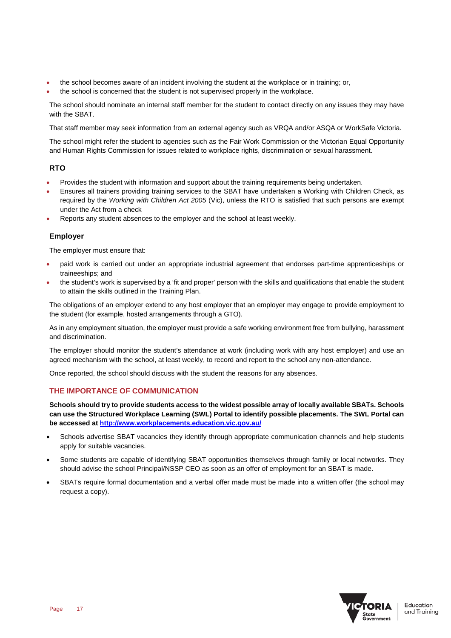- the school becomes aware of an incident involving the student at the workplace or in training; or,
- the school is concerned that the student is not supervised properly in the workplace.

The school should nominate an internal staff member for the student to contact directly on any issues they may have with the SBAT.

That staff member may seek information from an external agency such as VRQA and/or ASQA or WorkSafe Victoria.

The school might refer the student to agencies such as the Fair Work Commission or the Victorian Equal Opportunity and Human Rights Commission for issues related to workplace rights, discrimination or sexual harassment.

## **RTO**

- Provides the student with information and support about the training requirements being undertaken.
- Ensures all trainers providing training services to the SBAT have undertaken a Working with Children Check, as required by the *Working with Children Act 2005* (Vic), unless the RTO is satisfied that such persons are exempt under the Act from a check
- Reports any student absences to the employer and the school at least weekly.

## **Employer**

The employer must ensure that:

- paid work is carried out under an appropriate industrial agreement that endorses part-time apprenticeships or traineeships; and
- the student's work is supervised by a 'fit and proper' person with the skills and qualifications that enable the student to attain the skills outlined in the Training Plan.

The obligations of an employer extend to any host employer that an employer may engage to provide employment to the student (for example, hosted arrangements through a GTO).

As in any employment situation, the employer must provide a safe working environment free from bullying, harassment and discrimination.

The employer should monitor the student's attendance at work (including work with any host employer) and use an agreed mechanism with the school, at least weekly, to record and report to the school any non-attendance.

Once reported, the school should discuss with the student the reasons for any absences.

# **THE IMPORTANCE OF COMMUNICATION**

**Schools should try to provide students access to the widest possible array of locally available SBATs. Schools can use the Structured Workplace Learning (SWL) Portal to identify possible placements. The SWL Portal can be accessed a[t http://www.workplacements.education.vic.gov.au/](http://www.workplacements.education.vic.gov.au/)**

- Schools advertise SBAT vacancies they identify through appropriate communication channels and help students apply for suitable vacancies.
- Some students are capable of identifying SBAT opportunities themselves through family or local networks. They should advise the school Principal/NSSP CEO as soon as an offer of employment for an SBAT is made.
- SBATs require formal documentation and a verbal offer made must be made into a written offer (the school may request a copy).

![](_page_16_Picture_22.jpeg)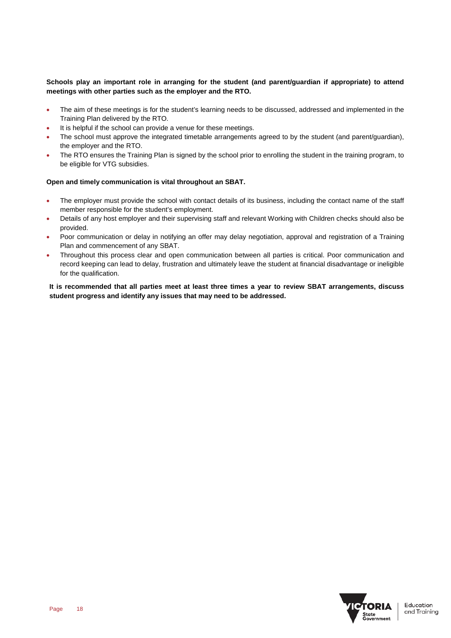## **Schools play an important role in arranging for the student (and parent/guardian if appropriate) to attend meetings with other parties such as the employer and the RTO.**

- The aim of these meetings is for the student's learning needs to be discussed, addressed and implemented in the Training Plan delivered by the RTO.
- It is helpful if the school can provide a venue for these meetings.
- The school must approve the integrated timetable arrangements agreed to by the student (and parent/guardian), the employer and the RTO.
- The RTO ensures the Training Plan is signed by the school prior to enrolling the student in the training program, to be eligible for VTG subsidies.

## **Open and timely communication is vital throughout an SBAT.**

- The employer must provide the school with contact details of its business, including the contact name of the staff member responsible for the student's employment.
- Details of any host employer and their supervising staff and relevant Working with Children checks should also be provided.
- Poor communication or delay in notifying an offer may delay negotiation, approval and registration of a Training Plan and commencement of any SBAT.
- Throughout this process clear and open communication between all parties is critical. Poor communication and record keeping can lead to delay, frustration and ultimately leave the student at financial disadvantage or ineligible for the qualification.

**It is recommended that all parties meet at least three times a year to review SBAT arrangements, discuss student progress and identify any issues that may need to be addressed.**

![](_page_17_Picture_11.jpeg)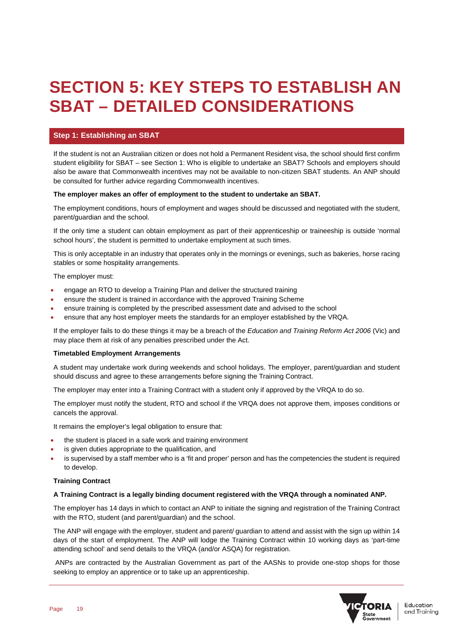# **SECTION 5: KEY STEPS TO ESTABLISH AN SBAT – DETAILED CONSIDERATIONS**

# **Step 1: Establishing an SBAT**

If the student is not an Australian citizen or does not hold a Permanent Resident visa, the school should first confirm student eligibility for SBAT – see Section 1: Who is eligible to undertake an SBAT? Schools and employers should also be aware that Commonwealth incentives may not be available to non-citizen SBAT students. An ANP should be consulted for further advice regarding Commonwealth incentives.

### **The employer makes an offer of employment to the student to undertake an SBAT.**

The employment conditions, hours of employment and wages should be discussed and negotiated with the student, parent/guardian and the school.

If the only time a student can obtain employment as part of their apprenticeship or traineeship is outside 'normal school hours', the student is permitted to undertake employment at such times.

This is only acceptable in an industry that operates only in the mornings or evenings, such as bakeries, horse racing stables or some hospitality arrangements.

The employer must:

- engage an RTO to develop a Training Plan and deliver the structured training
- ensure the student is trained in accordance with the approved Training Scheme
- ensure training is completed by the prescribed assessment date and advised to the school
- ensure that any host employer meets the standards for an employer established by the VRQA.

If the employer fails to do these things it may be a breach of the *Education and Training Reform Act 2006* (Vic) and may place them at risk of any penalties prescribed under the Act.

#### **Timetabled Employment Arrangements**

A student may undertake work during weekends and school holidays. The employer, parent/guardian and student should discuss and agree to these arrangements before signing the Training Contract.

The employer may enter into a Training Contract with a student only if approved by the VRQA to do so.

The employer must notify the student, RTO and school if the VRQA does not approve them, imposes conditions or cancels the approval.

It remains the employer's legal obligation to ensure that:

- the student is placed in a safe work and training environment
- is given duties appropriate to the qualification, and
- is supervised by a staff member who is a 'fit and proper' person and has the competencies the student is required to develop.

## **Training Contract**

#### **A Training Contract is a legally binding document registered with the VRQA through a nominated ANP.**

The employer has 14 days in which to contact an ANP to initiate the signing and registration of the Training Contract with the RTO, student (and parent/guardian) and the school.

The ANP will engage with the employer, student and parent/ guardian to attend and assist with the sign up within 14 days of the start of employment. The ANP will lodge the Training Contract within 10 working days as 'part-time attending school' and send details to the VRQA (and/or ASQA) for registration.

ANPs are contracted by the Australian Government as part of the AASNs to provide one-stop shops for those seeking to employ an apprentice or to take up an apprenticeship.

![](_page_18_Picture_26.jpeg)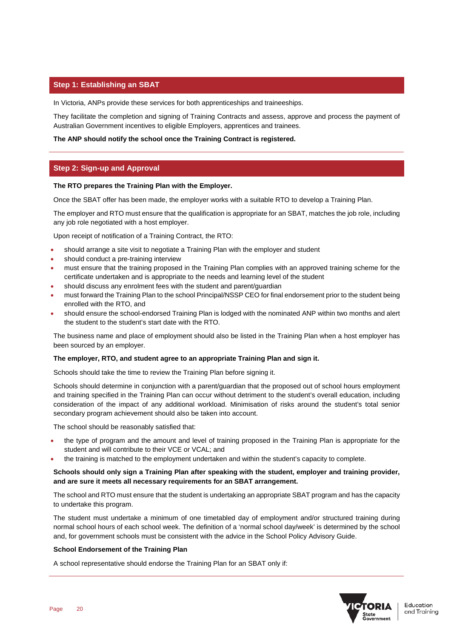## **Step 1: Establishing an SBAT**

In Victoria, ANPs provide these services for both apprenticeships and traineeships.

They facilitate the completion and signing of Training Contracts and assess, approve and process the payment of Australian Government incentives to eligible Employers, apprentices and trainees.

#### **The ANP should notify the school once the Training Contract is registered.**

# **Step 2: Sign-up and Approval**

### **The RTO prepares the Training Plan with the Employer.**

Once the SBAT offer has been made, the employer works with a suitable RTO to develop a Training Plan.

The employer and RTO must ensure that the qualification is appropriate for an SBAT, matches the job role, including any job role negotiated with a host employer.

Upon receipt of notification of a Training Contract, the RTO:

- should arrange a site visit to negotiate a Training Plan with the employer and student
- should conduct a pre-training interview
- must ensure that the training proposed in the Training Plan complies with an approved training scheme for the certificate undertaken and is appropriate to the needs and learning level of the student
- should discuss any enrolment fees with the student and parent/guardian
- must forward the Training Plan to the school Principal/NSSP CEO for final endorsement prior to the student being enrolled with the RTO, and
- should ensure the school-endorsed Training Plan is lodged with the nominated ANP within two months and alert the student to the student's start date with the RTO.

The business name and place of employment should also be listed in the Training Plan when a host employer has been sourced by an employer.

#### **The employer, RTO, and student agree to an appropriate Training Plan and sign it.**

Schools should take the time to review the Training Plan before signing it.

Schools should determine in conjunction with a parent/guardian that the proposed out of school hours employment and training specified in the Training Plan can occur without detriment to the student's overall education, including consideration of the impact of any additional workload. Minimisation of risks around the student's total senior secondary program achievement should also be taken into account.

The school should be reasonably satisfied that:

- the type of program and the amount and level of training proposed in the Training Plan is appropriate for the student and will contribute to their VCE or VCAL; and
- the training is matched to the employment undertaken and within the student's capacity to complete.

### **Schools should only sign a Training Plan after speaking with the student, employer and training provider, and are sure it meets all necessary requirements for an SBAT arrangement.**

The school and RTO must ensure that the student is undertaking an appropriate SBAT program and has the capacity to undertake this program.

The student must undertake a minimum of one timetabled day of employment and/or structured training during normal school hours of each school week. The definition of a 'normal school day/week' is determined by the school and, for government schools must be consistent with the advice in the School Policy Advisory Guide.

#### **School Endorsement of the Training Plan**

A school representative should endorse the Training Plan for an SBAT only if:

![](_page_19_Picture_27.jpeg)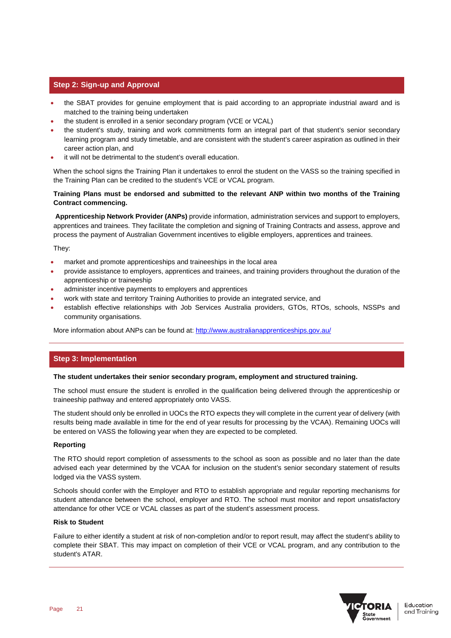## **Step 2: Sign-up and Approval**

- the SBAT provides for genuine employment that is paid according to an appropriate industrial award and is matched to the training being undertaken
- the student is enrolled in a senior secondary program (VCE or VCAL)
- the student's study, training and work commitments form an integral part of that student's senior secondary learning program and study timetable, and are consistent with the student's career aspiration as outlined in their career action plan, and
- it will not be detrimental to the student's overall education.

When the school signs the Training Plan it undertakes to enrol the student on the VASS so the training specified in the Training Plan can be credited to the student's VCE or VCAL program.

## **Training Plans must be endorsed and submitted to the relevant ANP within two months of the Training Contract commencing.**

**Apprenticeship Network Provider (ANPs)** provide information, administration services and support to employers, apprentices and trainees. They facilitate the completion and signing of Training Contracts and assess, approve and process the payment of Australian Government incentives to eligible employers, apprentices and trainees.

They:

- market and promote apprenticeships and traineeships in the local area
- provide assistance to employers, apprentices and trainees, and training providers throughout the duration of the apprenticeship or traineeship
- administer incentive payments to employers and apprentices
- work with state and territory Training Authorities to provide an integrated service, and
- establish effective relationships with Job Services Australia providers, GTOs, RTOs, schools, NSSPs and community organisations.

More information about ANPs can be found at:<http://www.australianapprenticeships.gov.au/>

## **Step 3: Implementation**

#### **The student undertakes their senior secondary program, employment and structured training.**

The school must ensure the student is enrolled in the qualification being delivered through the apprenticeship or traineeship pathway and entered appropriately onto VASS.

The student should only be enrolled in UOCs the RTO expects they will complete in the current year of delivery (with results being made available in time for the end of year results for processing by the VCAA). Remaining UOCs will be entered on VASS the following year when they are expected to be completed.

## **Reporting**

The RTO should report completion of assessments to the school as soon as possible and no later than the date advised each year determined by the VCAA for inclusion on the student's senior secondary statement of results lodged via the VASS system.

Schools should confer with the Employer and RTO to establish appropriate and regular reporting mechanisms for student attendance between the school, employer and RTO. The school must monitor and report unsatisfactory attendance for other VCE or VCAL classes as part of the student's assessment process.

#### **Risk to Student**

Failure to either identify a student at risk of non-completion and/or to report result, may affect the student's ability to complete their SBAT. This may impact on completion of their VCE or VCAL program, and any contribution to the student's ATAR.

![](_page_20_Picture_24.jpeg)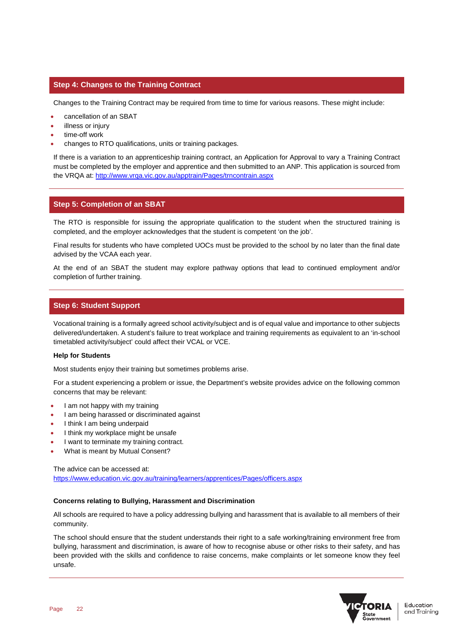## **Step 4: Changes to the Training Contract**

Changes to the Training Contract may be required from time to time for various reasons. These might include:

- cancellation of an SBAT
- illness or injury
- time-off work
- changes to RTO qualifications, units or training packages.

If there is a variation to an apprenticeship training contract, an Application for Approval to vary a Training Contract must be completed by the employer and apprentice and then submitted to an ANP. This application is sourced from the VRQA at:<http://www.vrqa.vic.gov.au/apptrain/Pages/trncontrain.aspx>

## **Step 5: Completion of an SBAT**

The RTO is responsible for issuing the appropriate qualification to the student when the structured training is completed, and the employer acknowledges that the student is competent 'on the job'.

Final results for students who have completed UOCs must be provided to the school by no later than the final date advised by the VCAA each year.

At the end of an SBAT the student may explore pathway options that lead to continued employment and/or completion of further training.

## **Step 6: Student Support**

Vocational training is a formally agreed school activity/subject and is of equal value and importance to other subjects delivered/undertaken. A student's failure to treat workplace and training requirements as equivalent to an 'in-school timetabled activity/subject' could affect their VCAL or VCE.

#### **Help for Students**

Most students enjoy their training but sometimes problems arise.

For a student experiencing a problem or issue, the Department's website provides advice on the following common concerns that may be relevant:

- I am not happy with my training
- I am being harassed or discriminated against
- I think I am being underpaid
- I think my workplace might be unsafe
- I want to terminate my training contract.
- What is meant by Mutual Consent?

The advice can be accessed at: <https://www.education.vic.gov.au/training/learners/apprentices/Pages/officers.aspx>

#### **Concerns relating to Bullying, Harassment and Discrimination**

All schools are required to have a policy addressing bullying and harassment that is available to all members of their community.

The school should ensure that the student understands their right to a safe working/training environment free from bullying, harassment and discrimination, is aware of how to recognise abuse or other risks to their safety, and has been provided with the skills and confidence to raise concerns, make complaints or let someone know they feel unsafe.

![](_page_21_Picture_26.jpeg)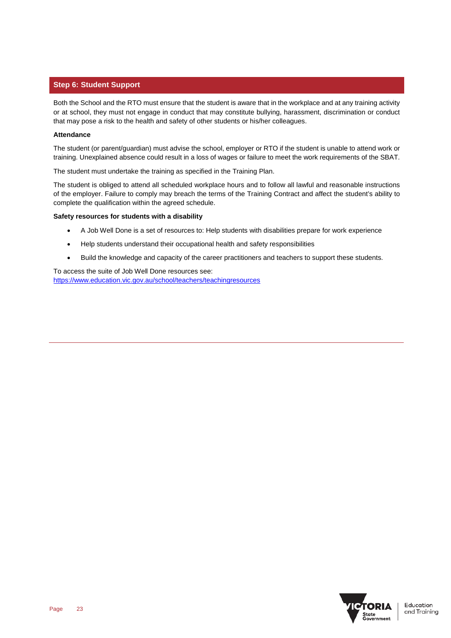## **Step 6: Student Support**

Both the School and the RTO must ensure that the student is aware that in the workplace and at any training activity or at school, they must not engage in conduct that may constitute bullying, harassment, discrimination or conduct that may pose a risk to the health and safety of other students or his/her colleagues.

### **Attendance**

The student (or parent/guardian) must advise the school, employer or RTO if the student is unable to attend work or training. Unexplained absence could result in a loss of wages or failure to meet the work requirements of the SBAT.

The student must undertake the training as specified in the Training Plan.

The student is obliged to attend all scheduled workplace hours and to follow all lawful and reasonable instructions of the employer. Failure to comply may breach the terms of the Training Contract and affect the student's ability to complete the qualification within the agreed schedule.

### **Safety resources for students with a disability**

- A Job Well Done is a set of resources to: Help students with disabilities prepare for work experience
- Help students understand their occupational health and safety responsibilities
- Build the knowledge and capacity of the career practitioners and teachers to support these students.

To access the suite of Job Well Done resources see: <https://www.education.vic.gov.au/school/teachers/teachingresources>

![](_page_22_Picture_11.jpeg)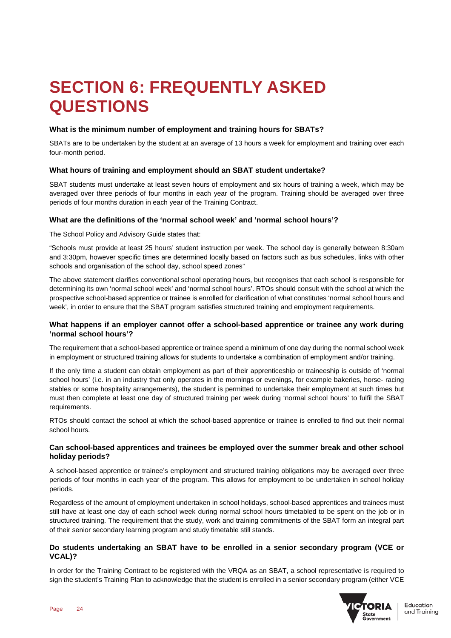# **SECTION 6: FREQUENTLY ASKED QUESTIONS**

## **What is the minimum number of employment and training hours for SBATs?**

SBATs are to be undertaken by the student at an average of 13 hours a week for employment and training over each four-month period.

## **What hours of training and employment should an SBAT student undertake?**

SBAT students must undertake at least seven hours of employment and six hours of training a week, which may be averaged over three periods of four months in each year of the program. Training should be averaged over three periods of four months duration in each year of the Training Contract.

## **What are the definitions of the 'normal school week' and 'normal school hours'?**

The School Policy and Advisory Guide states that:

"Schools must provide at least 25 hours' student instruction per week. The school day is generally between 8:30am and 3:30pm, however specific times are determined locally based on factors such as bus schedules, links with other schools and organisation of the school day, school speed zones"

The above statement clarifies conventional school operating hours, but recognises that each school is responsible for determining its own 'normal school week' and 'normal school hours'. RTOs should consult with the school at which the prospective school-based apprentice or trainee is enrolled for clarification of what constitutes 'normal school hours and week', in order to ensure that the SBAT program satisfies structured training and employment requirements.

## **What happens if an employer cannot offer a school-based apprentice or trainee any work during 'normal school hours'?**

The requirement that a school-based apprentice or trainee spend a minimum of one day during the normal school week in employment or structured training allows for students to undertake a combination of employment and/or training.

If the only time a student can obtain employment as part of their apprenticeship or traineeship is outside of 'normal school hours' (i.e. in an industry that only operates in the mornings or evenings, for example bakeries, horse- racing stables or some hospitality arrangements), the student is permitted to undertake their employment at such times but must then complete at least one day of structured training per week during 'normal school hours' to fulfil the SBAT requirements.

RTOs should contact the school at which the school-based apprentice or trainee is enrolled to find out their normal school hours.

## **Can school-based apprentices and trainees be employed over the summer break and other school holiday periods?**

A school-based apprentice or trainee's employment and structured training obligations may be averaged over three periods of four months in each year of the program. This allows for employment to be undertaken in school holiday periods.

Regardless of the amount of employment undertaken in school holidays, school-based apprentices and trainees must still have at least one day of each school week during normal school hours timetabled to be spent on the job or in structured training. The requirement that the study, work and training commitments of the SBAT form an integral part of their senior secondary learning program and study timetable still stands.

## **Do students undertaking an SBAT have to be enrolled in a senior secondary program (VCE or VCAL)?**

In order for the Training Contract to be registered with the VRQA as an SBAT, a school representative is required to sign the student's Training Plan to acknowledge that the student is enrolled in a senior secondary program (either VCE

![](_page_23_Picture_18.jpeg)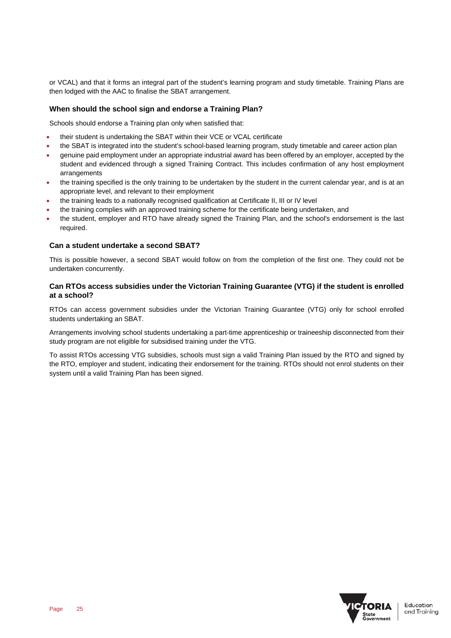or VCAL) and that it forms an integral part of the student's learning program and study timetable. Training Plans are then lodged with the AAC to finalise the SBAT arrangement.

## **When should the school sign and endorse a Training Plan?**

Schools should endorse a Training plan only when satisfied that:

- their student is undertaking the SBAT within their VCE or VCAL certificate
- the SBAT is integrated into the student's school-based learning program, study timetable and career action plan
- genuine paid employment under an appropriate industrial award has been offered by an employer, accepted by the student and evidenced through a signed Training Contract. This includes confirmation of any host employment arrangements
- the training specified is the only training to be undertaken by the student in the current calendar year, and is at an appropriate level, and relevant to their employment
- the training leads to a nationally recognised qualification at Certificate II, III or IV level
- the training complies with an approved training scheme for the certificate being undertaken, and
- the student, employer and RTO have already signed the Training Plan, and the school's endorsement is the last required.

## **Can a student undertake a second SBAT?**

This is possible however, a second SBAT would follow on from the completion of the first one. They could not be undertaken concurrently.

## **Can RTOs access subsidies under the Victorian Training Guarantee (VTG) if the student is enrolled at a school?**

RTOs can access government subsidies under the Victorian Training Guarantee (VTG) only for school enrolled students undertaking an SBAT.

Arrangements involving school students undertaking a part-time apprenticeship or traineeship disconnected from their study program are not eligible for subsidised training under the VTG.

To assist RTOs accessing VTG subsidies, schools must sign a valid Training Plan issued by the RTO and signed by the RTO, employer and student, indicating their endorsement for the training. RTOs should not enrol students on their system until a valid Training Plan has been signed.

![](_page_24_Picture_16.jpeg)